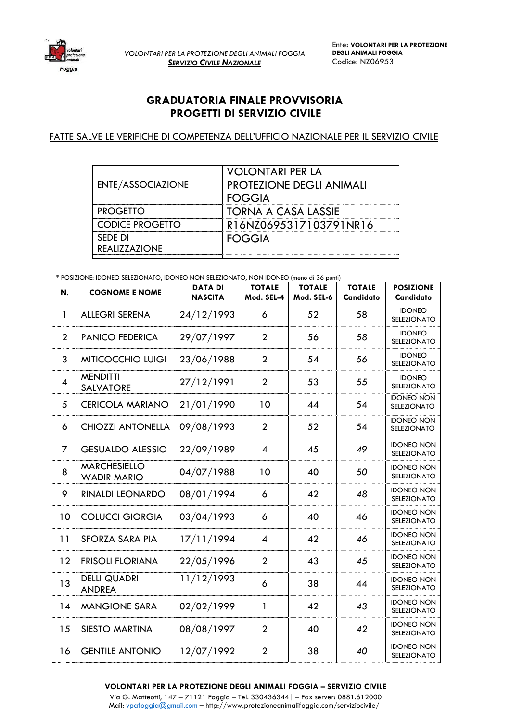

VOLONTARI PER LA PROTEZIONE DEGLI ANIMALI FOGGIA SERVIZIO CIVILE NAZIONALE

## GRADUATORIA FINALE PROVVISORIA PROGETTI DI SERVIZIO CIVILE

FATTE SALVE LE VERIFICHE DI COMPETENZA DELL'UFFICIO NAZIONALE PER IL SERVIZIO CIVILE

| ENTE/ASSOCIAZIONE               | <b>VOLONTARI PER LA</b><br><b>PROTEZIONE DEGLI ANIMALI</b><br>FOGGIA |  |  |  |
|---------------------------------|----------------------------------------------------------------------|--|--|--|
| <b>PROGETTO</b>                 | TORNA A CASA LASSIE                                                  |  |  |  |
| CODICE PROGETTO                 | R16NZ0695317103791NR16                                               |  |  |  |
| SEDE DI<br><b>REALIZZAZIONE</b> | FOGGIA                                                               |  |  |  |

\* POSIZIONE: IDONEO SELEZIONATO, IDONEO NON SELEZIONATO, NON IDONEO (meno di 36 punti)

| N.                       | <b>COGNOME E NOME</b>                | <b>DATA DI</b><br><b>NASCITA</b> | <b>TOTALE</b><br>Mod. SEL-4 | <b>TOTALE</b><br>Mod. SEL-6 | <b>TOTALE</b><br>Candidato | <b>POSIZIONE</b><br>Candidato           |
|--------------------------|--------------------------------------|----------------------------------|-----------------------------|-----------------------------|----------------------------|-----------------------------------------|
| 1                        | <b>ALLEGRI SERENA</b>                | 24/12/1993                       | 6                           | 52                          | 58                         | <b>IDONEO</b><br>SELEZIONATO            |
| $\overline{2}$           | <b>PANICO FEDERICA</b>               | 29/07/1997                       | $\overline{2}$              | 56                          | 58                         | <b>IDONEO</b><br><b>SELEZIONATO</b>     |
| 3                        | <b>MITICOCCHIO LUIGI</b>             | 23/06/1988                       | $\overline{2}$              | 54                          | 56                         | <b>IDONEO</b><br>SELEZIONATO            |
| $\boldsymbol{\varDelta}$ | <b>MENDITTI</b><br><b>SALVATORE</b>  | 27/12/1991                       | $\overline{2}$              | 53                          | 55                         | <b>IDONEO</b><br><b>SELEZIONATO</b>     |
| 5                        | <b>CERICOLA MARIANO</b>              | 21/01/1990                       | 10                          | 44                          | 54                         | <b>IDONEO NON</b><br>SELEZIONATO        |
| 6                        | <b>CHIOZZI ANTONELLA</b>             | 09/08/1993                       | $\overline{2}$              | 52                          | 54                         | <b>IDONEO NON</b><br><b>SELEZIONATO</b> |
| 7                        | <b>GESUALDO ALESSIO</b>              | 22/09/1989                       | $\overline{\mathcal{A}}$    | 45                          | 49                         | <b>IDONEO NON</b><br>SELEZIONATO        |
| 8                        | MARCHESIELLO<br><b>WADIR MARIO</b>   | 04/07/1988                       | 10                          | 40                          | 50                         | <b>IDONEO NON</b><br><b>SELEZIONATO</b> |
| 9                        | RINALDI LEONARDO                     | 08/01/1994                       | 6                           | 42                          | 48                         | <b>IDONEO NON</b><br><b>SELEZIONATO</b> |
| 10                       | <b>COLUCCI GIORGIA</b>               | 03/04/1993                       | 6                           | 40                          | 46                         | <b>IDONEO NON</b><br><b>SELEZIONATO</b> |
| 11                       | SFORZA SARA PIA                      | 17/11/1994                       | $\overline{4}$              | 42                          | 46                         | <b>IDONEO NON</b><br><b>SELEZIONATO</b> |
| $12 \$                   | <b>FRISOLI FLORIANA</b>              | 22/05/1996                       | $\overline{2}$              | 43                          | 45                         | <b>IDONEO NON</b><br><b>SELEZIONATO</b> |
| 13                       | <b>DELLI QUADRI</b><br><b>ANDREA</b> | 11/12/1993                       | 6                           | 38                          | 44                         | <b>IDONEO NON</b><br><b>SELEZIONATO</b> |
| 14                       | <b>MANGIONE SARA</b>                 | 02/02/1999                       | 1                           | 42                          | 43                         | <b>IDONEO NON</b><br><b>SELEZIONATO</b> |
| 15                       | <b>SIESTO MARTINA</b>                | 08/08/1997                       | $\overline{2}$              | 40                          | 42                         | <b>IDONEO NON</b><br><b>SELEZIONATO</b> |
| 16                       | <b>GENTILE ANTONIO</b>               | 12/07/1992                       | $\overline{2}$              | 38                          | 40                         | <b>IDONEO NON</b><br>SELEZIONATO        |

## VOLONTARI PER LA PROTEZIONE DEGLI ANIMALI FOGGIA – SERVIZIO CIVILE